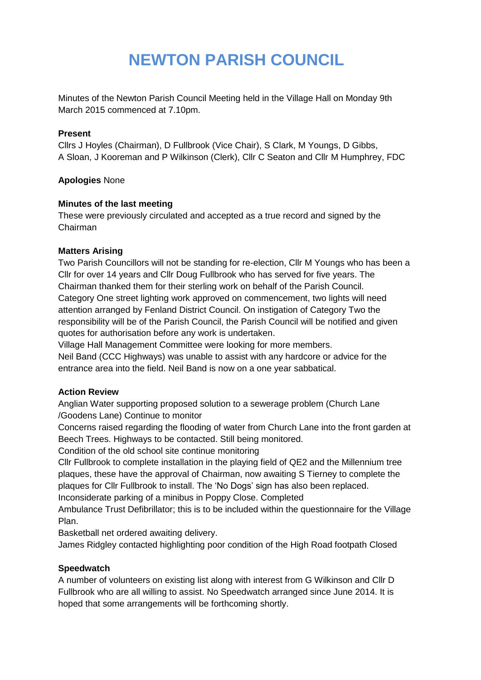# **NEWTON PARISH COUNCIL**

Minutes of the Newton Parish Council Meeting held in the Village Hall on Monday 9th March 2015 commenced at 7.10pm.

#### **Present**

Cllrs J Hoyles (Chairman), D Fullbrook (Vice Chair), S Clark, M Youngs, D Gibbs, A Sloan, J Kooreman and P Wilkinson (Clerk), Cllr C Seaton and Cllr M Humphrey, FDC

#### **Apologies** None

#### **Minutes of the last meeting**

These were previously circulated and accepted as a true record and signed by the Chairman

#### **Matters Arising**

Two Parish Councillors will not be standing for re-election, Cllr M Youngs who has been a Cllr for over 14 years and Cllr Doug Fullbrook who has served for five years. The Chairman thanked them for their sterling work on behalf of the Parish Council. Category One street lighting work approved on commencement, two lights will need attention arranged by Fenland District Council. On instigation of Category Two the responsibility will be of the Parish Council, the Parish Council will be notified and given quotes for authorisation before any work is undertaken.

Village Hall Management Committee were looking for more members. Neil Band (CCC Highways) was unable to assist with any hardcore or advice for the entrance area into the field. Neil Band is now on a one year sabbatical.

# **Action Review**

Anglian Water supporting proposed solution to a sewerage problem (Church Lane /Goodens Lane) Continue to monitor

Concerns raised regarding the flooding of water from Church Lane into the front garden at Beech Trees. Highways to be contacted. Still being monitored.

Condition of the old school site continue monitoring

Cllr Fullbrook to complete installation in the playing field of QE2 and the Millennium tree plaques, these have the approval of Chairman, now awaiting S Tierney to complete the plaques for Cllr Fullbrook to install. The 'No Dogs' sign has also been replaced.

Inconsiderate parking of a minibus in Poppy Close. Completed

Ambulance Trust Defibrillator; this is to be included within the questionnaire for the Village Plan.

Basketball net ordered awaiting delivery.

James Ridgley contacted highlighting poor condition of the High Road footpath Closed

# **Speedwatch**

A number of volunteers on existing list along with interest from G Wilkinson and Cllr D Fullbrook who are all willing to assist. No Speedwatch arranged since June 2014. It is hoped that some arrangements will be forthcoming shortly.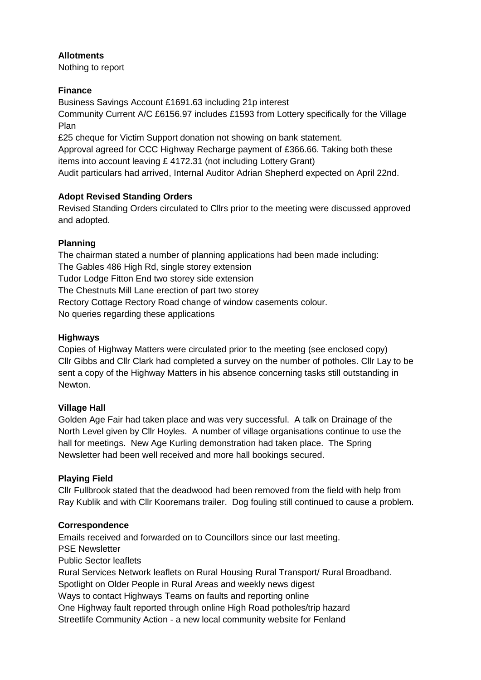# **Allotments**

Nothing to report

## **Finance**

Business Savings Account £1691.63 including 21p interest

Community Current A/C £6156.97 includes £1593 from Lottery specifically for the Village Plan

£25 cheque for Victim Support donation not showing on bank statement.

Approval agreed for CCC Highway Recharge payment of £366.66. Taking both these items into account leaving £ 4172.31 (not including Lottery Grant)

Audit particulars had arrived, Internal Auditor Adrian Shepherd expected on April 22nd.

# **Adopt Revised Standing Orders**

Revised Standing Orders circulated to Cllrs prior to the meeting were discussed approved and adopted.

#### **Planning**

The chairman stated a number of planning applications had been made including: The Gables 486 High Rd, single storey extension Tudor Lodge Fitton End two storey side extension The Chestnuts Mill Lane erection of part two storey Rectory Cottage Rectory Road change of window casements colour. No queries regarding these applications

## **Highways**

Copies of Highway Matters were circulated prior to the meeting (see enclosed copy) Cllr Gibbs and Cllr Clark had completed a survey on the number of potholes. Cllr Lay to be sent a copy of the Highway Matters in his absence concerning tasks still outstanding in Newton.

# **Village Hall**

Golden Age Fair had taken place and was very successful. A talk on Drainage of the North Level given by Cllr Hoyles. A number of village organisations continue to use the hall for meetings. New Age Kurling demonstration had taken place. The Spring Newsletter had been well received and more hall bookings secured.

# **Playing Field**

Cllr Fullbrook stated that the deadwood had been removed from the field with help from Ray Kublik and with Cllr Kooremans trailer. Dog fouling still continued to cause a problem.

#### **Correspondence**

Emails received and forwarded on to Councillors since our last meeting. PSE Newsletter Public Sector leaflets Rural Services Network leaflets on Rural Housing Rural Transport/ Rural Broadband. Spotlight on Older People in Rural Areas and weekly news digest Ways to contact Highways Teams on faults and reporting online One Highway fault reported through online High Road potholes/trip hazard

Streetlife Community Action - a new local community website for Fenland